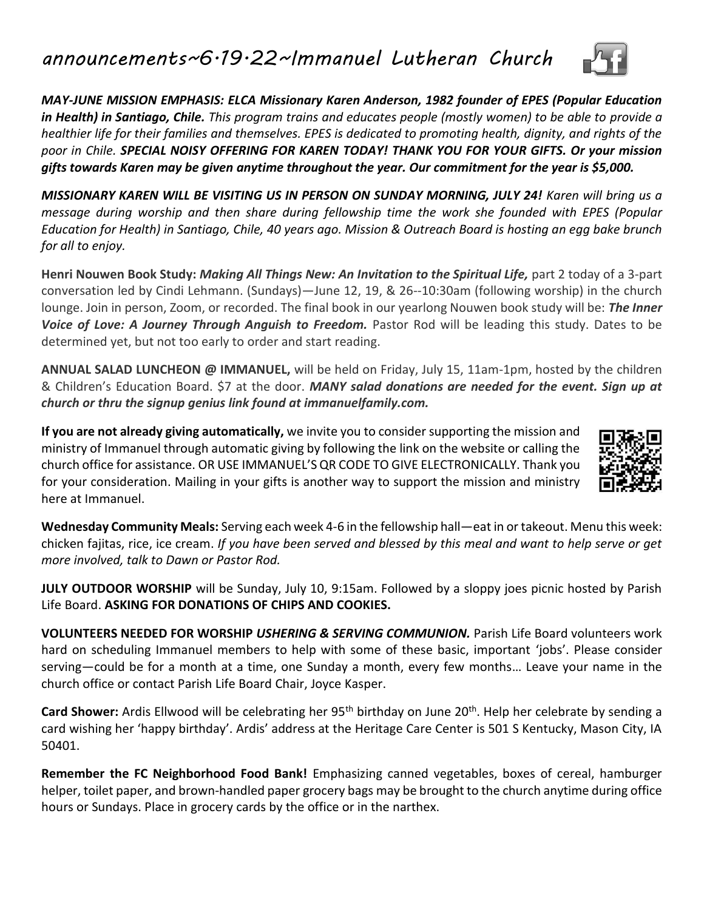## *announcements~6.19.22~Immanuel Lutheran Church*

*MAY-JUNE MISSION EMPHASIS: ELCA Missionary Karen Anderson, 1982 founder of EPES (Popular Education in Health) in Santiago, Chile. This program trains and educates people (mostly women) to be able to provide a healthier life for their families and themselves. EPES is dedicated to promoting health, dignity, and rights of the poor in Chile. SPECIAL NOISY OFFERING FOR KAREN TODAY! THANK YOU FOR YOUR GIFTS. Or your mission gifts towards Karen may be given anytime throughout the year. Our commitment for the year is \$5,000.*

*MISSIONARY KAREN WILL BE VISITING US IN PERSON ON SUNDAY MORNING, JULY 24! Karen will bring us a message during worship and then share during fellowship time the work she founded with EPES (Popular Education for Health) in Santiago, Chile, 40 years ago. Mission & Outreach Board is hosting an egg bake brunch for all to enjoy.*

**Henri Nouwen Book Study:** *Making All Things New: An Invitation to the Spiritual Life,* part 2 today of a 3-part conversation led by Cindi Lehmann. (Sundays)—June 12, 19, & 26--10:30am (following worship) in the church lounge. Join in person, Zoom, or recorded. The final book in our yearlong Nouwen book study will be: *The Inner Voice of Love: A Journey Through Anguish to Freedom.* Pastor Rod will be leading this study. Dates to be determined yet, but not too early to order and start reading.

**ANNUAL SALAD LUNCHEON @ IMMANUEL,** will be held on Friday, July 15, 11am-1pm, hosted by the children & Children's Education Board. \$7 at the door. *MANY salad donations are needed for the event. Sign up at church or thru the signup genius link found at immanuelfamily.com.*

**If you are not already giving automatically,** we invite you to consider supporting the mission and ministry of Immanuel through automatic giving by following the link on the website or calling the church office for assistance. OR USE IMMANUEL'S QR CODE TO GIVE ELECTRONICALLY. Thank you for your consideration. Mailing in your gifts is another way to support the mission and ministry here at Immanuel.

**Wednesday Community Meals:** Serving each week 4-6 in the fellowship hall—eat in or takeout. Menu this week: chicken fajitas, rice, ice cream. *If you have been served and blessed by this meal and want to help serve or get more involved, talk to Dawn or Pastor Rod.*

**JULY OUTDOOR WORSHIP** will be Sunday, July 10, 9:15am. Followed by a sloppy joes picnic hosted by Parish Life Board. **ASKING FOR DONATIONS OF CHIPS AND COOKIES.**

**VOLUNTEERS NEEDED FOR WORSHIP** *USHERING & SERVING COMMUNION.* Parish Life Board volunteers work hard on scheduling Immanuel members to help with some of these basic, important 'jobs'. Please consider serving—could be for a month at a time, one Sunday a month, every few months… Leave your name in the church office or contact Parish Life Board Chair, Joyce Kasper.

**Card Shower:** Ardis Ellwood will be celebrating her 95<sup>th</sup> birthday on June 20<sup>th</sup>. Help her celebrate by sending a card wishing her 'happy birthday'. Ardis' address at the Heritage Care Center is 501 S Kentucky, Mason City, IA 50401.

**Remember the FC Neighborhood Food Bank!** Emphasizing canned vegetables, boxes of cereal, hamburger helper, toilet paper, and brown-handled paper grocery bags may be brought to the church anytime during office hours or Sundays. Place in grocery cards by the office or in the narthex.